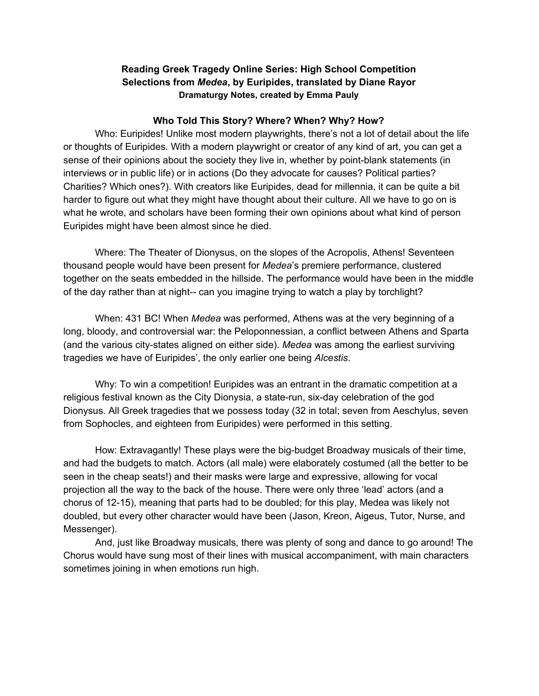# **Reading Greek Tragedy Online Series: High School Competition Selections from** *Medea***, by Euripides, translated by Diane Rayor Dramaturgy Notes, created by Emma Pauly**

#### **Who Told This Story? Where? When? Why? How?**

Who: Euripides! Unlike most modern playwrights, there's not a lot of detail about the life or thoughts of Euripides. With a modern playwright or creator of any kind of art, you can get a sense of their opinions about the society they live in, whether by point-blank statements (in interviews or in public life) or in actions (Do they advocate for causes? Political parties? Charities? Which ones?). With creators like Euripides, dead for millennia, it can be quite a bit harder to figure out what they might have thought about their culture. All we have to go on is what he wrote, and scholars have been forming their own opinions about what kind of person Euripides might have been almost since he died.

Where: The Theater of Dionysus, on the slopes of the Acropolis, Athens! Seventeen thousand people would have been present for *Medea*'s premiere performance, clustered together on the seats embedded in the hillside. The performance would have been in the middle of the day rather than at night-- can you imagine trying to watch a play by torchlight?

When: 431 BC! When *Medea* was performed, Athens was at the very beginning of a long, bloody, and controversial war: the Peloponnessian, a conflict between Athens and Sparta (and the various city-states aligned on either side). *Medea* was among the earliest surviving tragedies we have of Euripides', the only earlier one being *Alcestis*.

Why: To win a competition! Euripides was an entrant in the dramatic competition at a religious festival known as the City Dionysia, a state-run, six-day celebration of the god Dionysus. All Greek tragedies that we possess today (32 in total; seven from Aeschylus, seven from Sophocles, and eighteen from Euripides) were performed in this setting.

How: Extravagantly! These plays were the big-budget Broadway musicals of their time, and had the budgets to match. Actors (all male) were elaborately costumed (all the better to be seen in the cheap seats!) and their masks were large and expressive, allowing for vocal projection all the way to the back of the house. There were only three 'lead' actors (and a chorus of 12-15), meaning that parts had to be doubled; for this play, Medea was likely not doubled, but every other character would have been (Jason, Kreon, Aigeus, Tutor, Nurse, and Messenger).

And, just like Broadway musicals, there was plenty of song and dance to go around! The Chorus would have sung most of their lines with musical accompaniment, with main characters sometimes joining in when emotions run high.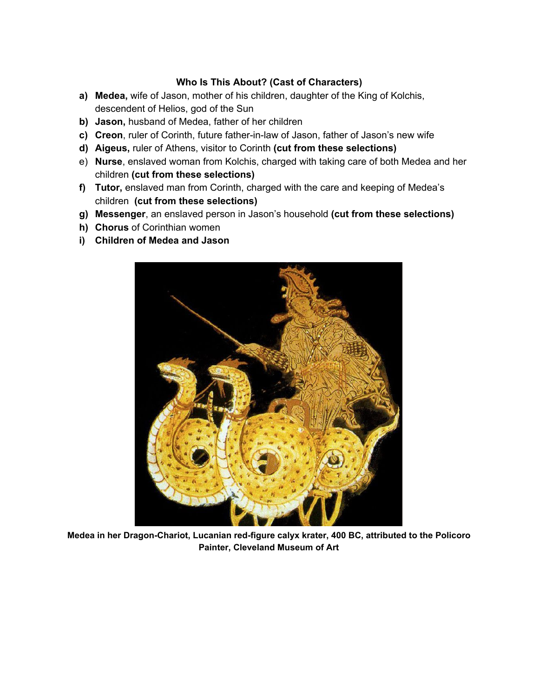## **Who Is This About? (Cast of Characters)**

- **a) Medea,** wife of Jason, mother of his children, daughter of the King of Kolchis, descendent of Helios, god of the Sun
- **b) Jason,** husband of Medea, father of her children
- **c) Creon**, ruler of Corinth, future father-in-law of Jason, father of Jason's new wife
- **d) Aigeus,** ruler of Athens, visitor to Corinth **(cut from these selections)**
- e) **Nurse**, enslaved woman from Kolchis, charged with taking care of both Medea and her children **(cut from these selections)**
- **f) Tutor,** enslaved man from Corinth, charged with the care and keeping of Medea's children **(cut from these selections)**
- **g) Messenger**, an enslaved person in Jason's household **(cut from these selections)**
- **h) Chorus** of Corinthian women
- **i) Children of Medea and Jason**



**Medea in her Dragon-Chariot, Lucanian red-figure calyx krater, 400 BC, attributed to the Policoro Painter, Cleveland Museum of Art**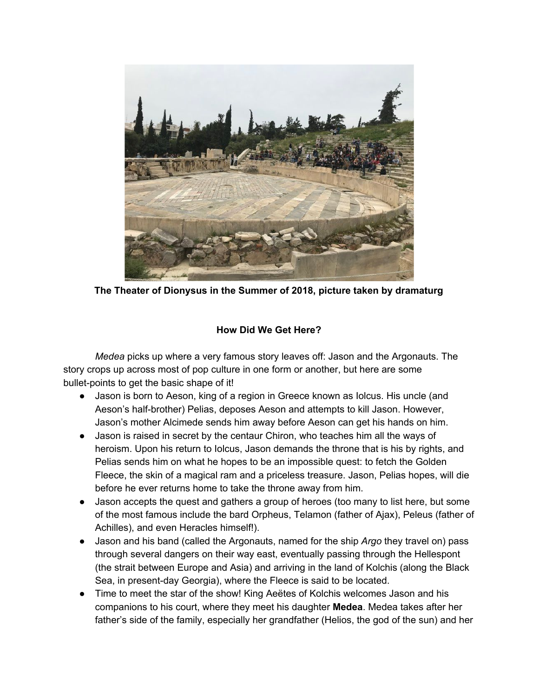

**The Theater of Dionysus in the Summer of 2018, picture taken by dramaturg**

## **How Did We Get Here?**

*Medea* picks up where a very famous story leaves off: Jason and the Argonauts. The story crops up across most of pop culture in one form or another, but here are some bullet-points to get the basic shape of it!

- Jason is born to Aeson, king of a region in Greece known as Iolcus. His uncle (and Aeson's half-brother) Pelias, deposes Aeson and attempts to kill Jason. However, Jason's mother Alcimede sends him away before Aeson can get his hands on him.
- Jason is raised in secret by the centaur Chiron, who teaches him all the ways of heroism. Upon his return to Iolcus, Jason demands the throne that is his by rights, and Pelias sends him on what he hopes to be an impossible quest: to fetch the Golden Fleece, the skin of a magical ram and a priceless treasure. Jason, Pelias hopes, will die before he ever returns home to take the throne away from him.
- Jason accepts the quest and gathers a group of heroes (too many to list here, but some of the most famous include the bard Orpheus, Telamon (father of Ajax), Peleus (father of Achilles), and even Heracles himself!).
- Jason and his band (called the Argonauts, named for the ship *Argo* they travel on) pass through several dangers on their way east, eventually passing through the Hellespont (the strait between Europe and Asia) and arriving in the land of Kolchis (along the Black Sea, in present-day Georgia), where the Fleece is said to be located.
- Time to meet the star of the show! King Aeëtes of Kolchis welcomes Jason and his companions to his court, where they meet his daughter **Medea**. Medea takes after her father's side of the family, especially her grandfather (Helios, the god of the sun) and her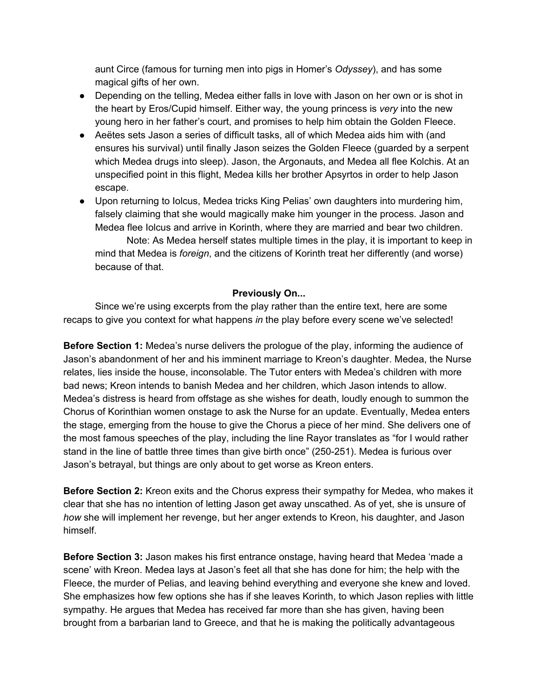aunt Circe (famous for turning men into pigs in Homer's *Odyssey*), and has some magical gifts of her own.

- Depending on the telling, Medea either falls in love with Jason on her own or is shot in the heart by Eros/Cupid himself. Either way, the young princess is *very* into the new young hero in her father's court, and promises to help him obtain the Golden Fleece.
- Aeëtes sets Jason a series of difficult tasks, all of which Medea aids him with (and ensures his survival) until finally Jason seizes the Golden Fleece (guarded by a serpent which Medea drugs into sleep). Jason, the Argonauts, and Medea all flee Kolchis. At an unspecified point in this flight, Medea kills her brother Apsyrtos in order to help Jason escape.
- Upon returning to Iolcus, Medea tricks King Pelias' own daughters into murdering him, falsely claiming that she would magically make him younger in the process. Jason and Medea flee Iolcus and arrive in Korinth, where they are married and bear two children.

Note: As Medea herself states multiple times in the play, it is important to keep in mind that Medea is *foreign*, and the citizens of Korinth treat her differently (and worse) because of that.

### **Previously On...**

Since we're using excerpts from the play rather than the entire text, here are some recaps to give you context for what happens *in* the play before every scene we've selected!

**Before Section 1:** Medea's nurse delivers the prologue of the play, informing the audience of Jason's abandonment of her and his imminent marriage to Kreon's daughter. Medea, the Nurse relates, lies inside the house, inconsolable. The Tutor enters with Medea's children with more bad news; Kreon intends to banish Medea and her children, which Jason intends to allow. Medea's distress is heard from offstage as she wishes for death, loudly enough to summon the Chorus of Korinthian women onstage to ask the Nurse for an update. Eventually, Medea enters the stage, emerging from the house to give the Chorus a piece of her mind. She delivers one of the most famous speeches of the play, including the line Rayor translates as "for I would rather stand in the line of battle three times than give birth once" (250-251). Medea is furious over Jason's betrayal, but things are only about to get worse as Kreon enters.

**Before Section 2:** Kreon exits and the Chorus express their sympathy for Medea, who makes it clear that she has no intention of letting Jason get away unscathed. As of yet, she is unsure of *how* she will implement her revenge, but her anger extends to Kreon, his daughter, and Jason himself.

**Before Section 3:** Jason makes his first entrance onstage, having heard that Medea 'made a scene' with Kreon. Medea lays at Jason's feet all that she has done for him; the help with the Fleece, the murder of Pelias, and leaving behind everything and everyone she knew and loved. She emphasizes how few options she has if she leaves Korinth, to which Jason replies with little sympathy. He argues that Medea has received far more than she has given, having been brought from a barbarian land to Greece, and that he is making the politically advantageous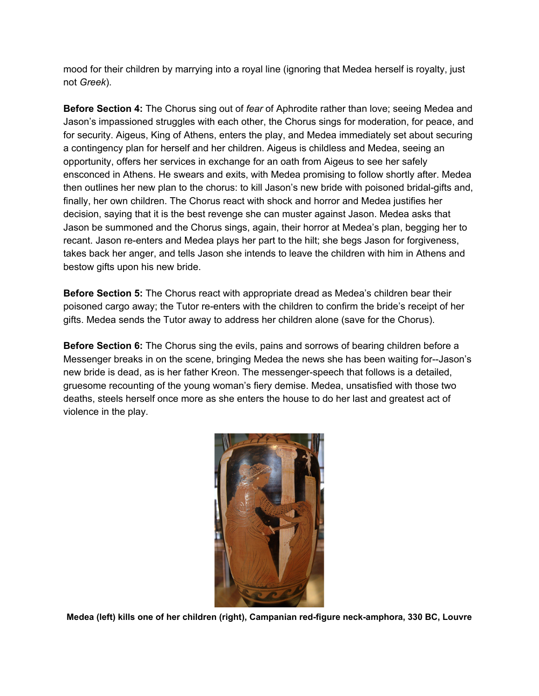mood for their children by marrying into a royal line (ignoring that Medea herself is royalty, just not *Greek*).

**Before Section 4:** The Chorus sing out of *fear* of Aphrodite rather than love; seeing Medea and Jason's impassioned struggles with each other, the Chorus sings for moderation, for peace, and for security. Aigeus, King of Athens, enters the play, and Medea immediately set about securing a contingency plan for herself and her children. Aigeus is childless and Medea, seeing an opportunity, offers her services in exchange for an oath from Aigeus to see her safely ensconced in Athens. He swears and exits, with Medea promising to follow shortly after. Medea then outlines her new plan to the chorus: to kill Jason's new bride with poisoned bridal-gifts and, finally, her own children. The Chorus react with shock and horror and Medea justifies her decision, saying that it is the best revenge she can muster against Jason. Medea asks that Jason be summoned and the Chorus sings, again, their horror at Medea's plan, begging her to recant. Jason re-enters and Medea plays her part to the hilt; she begs Jason for forgiveness, takes back her anger, and tells Jason she intends to leave the children with him in Athens and bestow gifts upon his new bride.

**Before Section 5:** The Chorus react with appropriate dread as Medea's children bear their poisoned cargo away; the Tutor re-enters with the children to confirm the bride's receipt of her gifts. Medea sends the Tutor away to address her children alone (save for the Chorus).

**Before Section 6:** The Chorus sing the evils, pains and sorrows of bearing children before a Messenger breaks in on the scene, bringing Medea the news she has been waiting for--Jason's new bride is dead, as is her father Kreon. The messenger-speech that follows is a detailed, gruesome recounting of the young woman's fiery demise. Medea, unsatisfied with those two deaths, steels herself once more as she enters the house to do her last and greatest act of violence in the play.



**Medea (left) kills one of her children (right), Campanian red-figure neck-amphora, 330 BC, Louvre**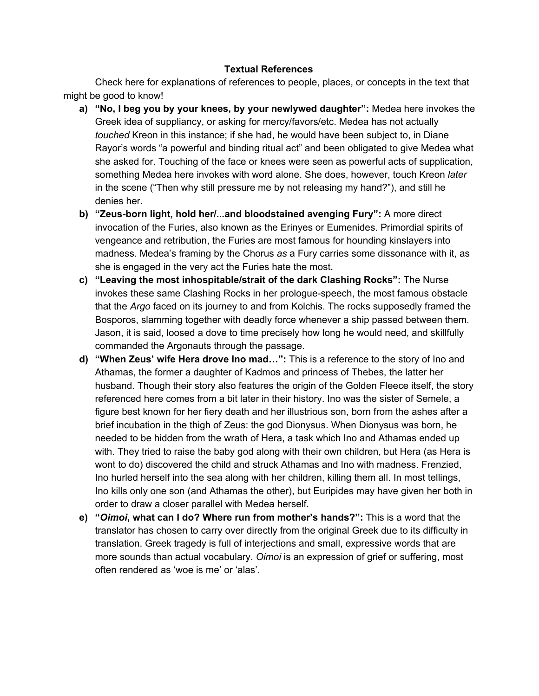#### **Textual References**

Check here for explanations of references to people, places, or concepts in the text that might be good to know!

- **a) "No, I beg you by your knees, by your newlywed daughter":** Medea here invokes the Greek idea of suppliancy, or asking for mercy/favors/etc. Medea has not actually *touched* Kreon in this instance; if she had, he would have been subject to, in Diane Rayor's words "a powerful and binding ritual act" and been obligated to give Medea what she asked for. Touching of the face or knees were seen as powerful acts of supplication, something Medea here invokes with word alone. She does, however, touch Kreon *later* in the scene ("Then why still pressure me by not releasing my hand?"), and still he denies her.
- **b) "Zeus-born light, hold her/...and bloodstained avenging Fury":** A more direct invocation of the Furies, also known as the Erinyes or Eumenides. Primordial spirits of vengeance and retribution, the Furies are most famous for hounding kinslayers into madness. Medea's framing by the Chorus *as* a Fury carries some dissonance with it, as she is engaged in the very act the Furies hate the most.
- **c) "Leaving the most inhospitable/strait of the dark Clashing Rocks":** The Nurse invokes these same Clashing Rocks in her prologue-speech, the most famous obstacle that the *Argo* faced on its journey to and from Kolchis. The rocks supposedly framed the Bosporos, slamming together with deadly force whenever a ship passed between them. Jason, it is said, loosed a dove to time precisely how long he would need, and skillfully commanded the Argonauts through the passage.
- **d) "When Zeus' wife Hera drove Ino mad…":** This is a reference to the story of Ino and Athamas, the former a daughter of Kadmos and princess of Thebes, the latter her husband. Though their story also features the origin of the Golden Fleece itself, the story referenced here comes from a bit later in their history. Ino was the sister of Semele, a figure best known for her fiery death and her illustrious son, born from the ashes after a brief incubation in the thigh of Zeus: the god Dionysus. When Dionysus was born, he needed to be hidden from the wrath of Hera, a task which Ino and Athamas ended up with. They tried to raise the baby god along with their own children, but Hera (as Hera is wont to do) discovered the child and struck Athamas and Ino with madness. Frenzied, Ino hurled herself into the sea along with her children, killing them all. In most tellings, Ino kills only one son (and Athamas the other), but Euripides may have given her both in order to draw a closer parallel with Medea herself.
- **e) "***Oimoi***, what can I do? Where run from mother's hands?":** This is a word that the translator has chosen to carry over directly from the original Greek due to its difficulty in translation. Greek tragedy is full of interjections and small, expressive words that are more sounds than actual vocabulary. *Oimoi* is an expression of grief or suffering, most often rendered as 'woe is me' or 'alas'.